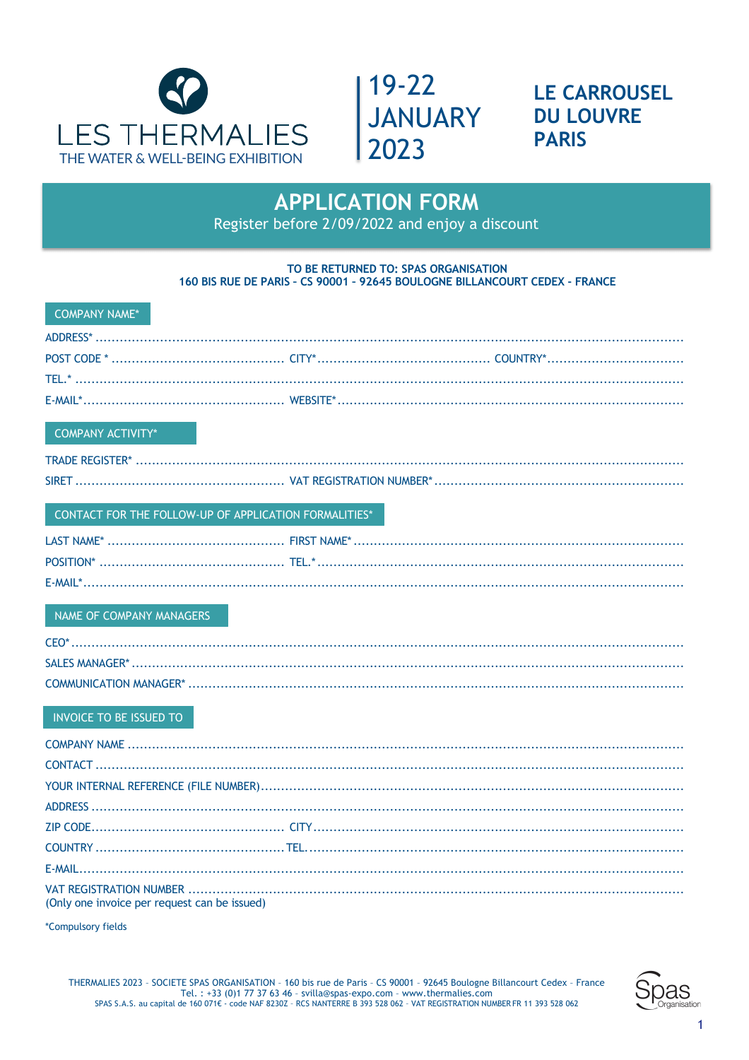



**LE CARROUSEL DU LOUVRE PARIS** 

## **APPLICATION FORM**

Register before 2/09/2022 and enjoy a discount

### TO BE RETURNED TO: SPAS ORGANISATION 160 BIS RUE DE PARIS - CS 90001 - 92645 BOULOGNE BILLANCOURT CEDEX - FRANCE

| <b>COMPANY NAME*</b>                                  |  |
|-------------------------------------------------------|--|
|                                                       |  |
|                                                       |  |
|                                                       |  |
|                                                       |  |
| <b>COMPANY ACTIVITY*</b>                              |  |
|                                                       |  |
|                                                       |  |
| CONTACT FOR THE FOLLOW-UP OF APPLICATION FORMALITIES* |  |
|                                                       |  |
|                                                       |  |
|                                                       |  |
| NAME OF COMPANY MANAGERS                              |  |
|                                                       |  |
|                                                       |  |
|                                                       |  |
| INVOICE TO BE ISSUED TO                               |  |
|                                                       |  |
|                                                       |  |
|                                                       |  |
|                                                       |  |
|                                                       |  |
|                                                       |  |
|                                                       |  |
| (Only one invoice per request can be issued)          |  |
| *Compulsory fields                                    |  |

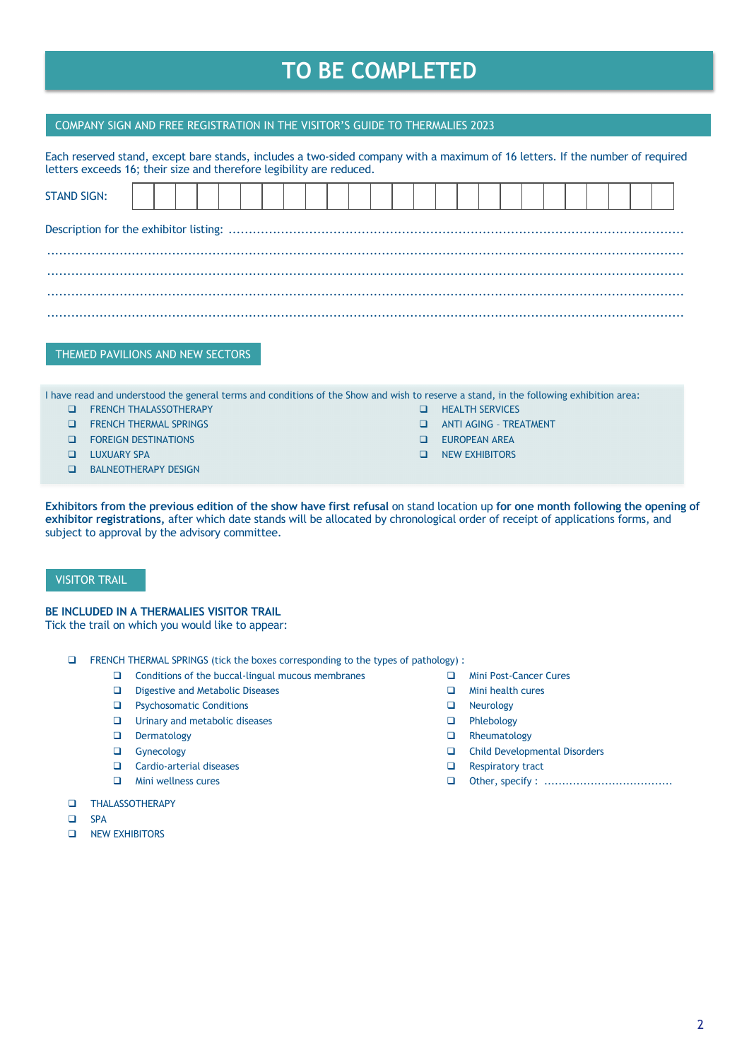## **TO BE COMPLETED**

### COMPANY SIGN AND FREE REGISTRATION IN THE VISITOR'S GUIDE TO THERMALIES 2023

| Each reserved stand, except bare stands, includes a two-sided company with a maximum of 16 letters. If the number of required<br>letters exceeds 16; their size and therefore legibility are reduced. |  |  |  |  |  |  |  |  |  |  |  |  |  |
|-------------------------------------------------------------------------------------------------------------------------------------------------------------------------------------------------------|--|--|--|--|--|--|--|--|--|--|--|--|--|
| <b>STAND SIGN:</b>                                                                                                                                                                                    |  |  |  |  |  |  |  |  |  |  |  |  |  |
|                                                                                                                                                                                                       |  |  |  |  |  |  |  |  |  |  |  |  |  |
|                                                                                                                                                                                                       |  |  |  |  |  |  |  |  |  |  |  |  |  |
|                                                                                                                                                                                                       |  |  |  |  |  |  |  |  |  |  |  |  |  |
|                                                                                                                                                                                                       |  |  |  |  |  |  |  |  |  |  |  |  |  |

THEMED PAVILIONS AND NEW SECTORS

I have read and understood the general terms and conditions of the Show and wish to reserve a stand, in the following exhibition area:

- **Q** FRENCH THALASSOTHERAPY
- **Q FRENCH THERMAL SPRINGS**
- **Q FOREIGN DESTINATIONS**
- **Q** LUXUARY SPA
- **Q** BALNEOTHERAPY DESIGN
- **Q** HEALTH SERVICES
- **Q ANTI AGING TREATMENT**
- **Q** EUROPEAN AREA
- **Q** NEW EXHIBITORS

**Exhibitors from the previous edition of the show have first refusal** on stand location up **for one month following the opening of exhibitor registrations,** after which date stands will be allocated by chronological order of receipt of applications forms, and subject to approval by the advisory committee.

### VISITOR TRAIL

### **BE INCLUDED IN A THERMALIES VISITOR TRAIL**

Tick the trail on which you would like to appear:

- q FRENCH THERMAL SPRINGS (tick the boxes corresponding to the types of pathology) :
	- $\Box$  Conditions of the buccal-lingual mucous membranes
	- D Digestive and Metabolic Diseases
	- **Q** Psychosomatic Conditions
	- **Q** Urinary and metabolic diseases
	- **Q** Dermatology
	- **Q** Gynecology
	- **Q** Cardio-arterial diseases
	- $\Box$  Mini wellness cures
- **Q** THALASSOTHERAPY
- **Q** SPA
- **Q** NEW EXHIBITORS
- **Q** Mini Post-Cancer Cures
- **Q** Mini health cures
- **Q** Neurology
- **Q** Phlebology
- **Q** Rheumatology
- □ Child Developmental Disorders
- $\Box$  Respiratory tract
- q Other, specify : ....................................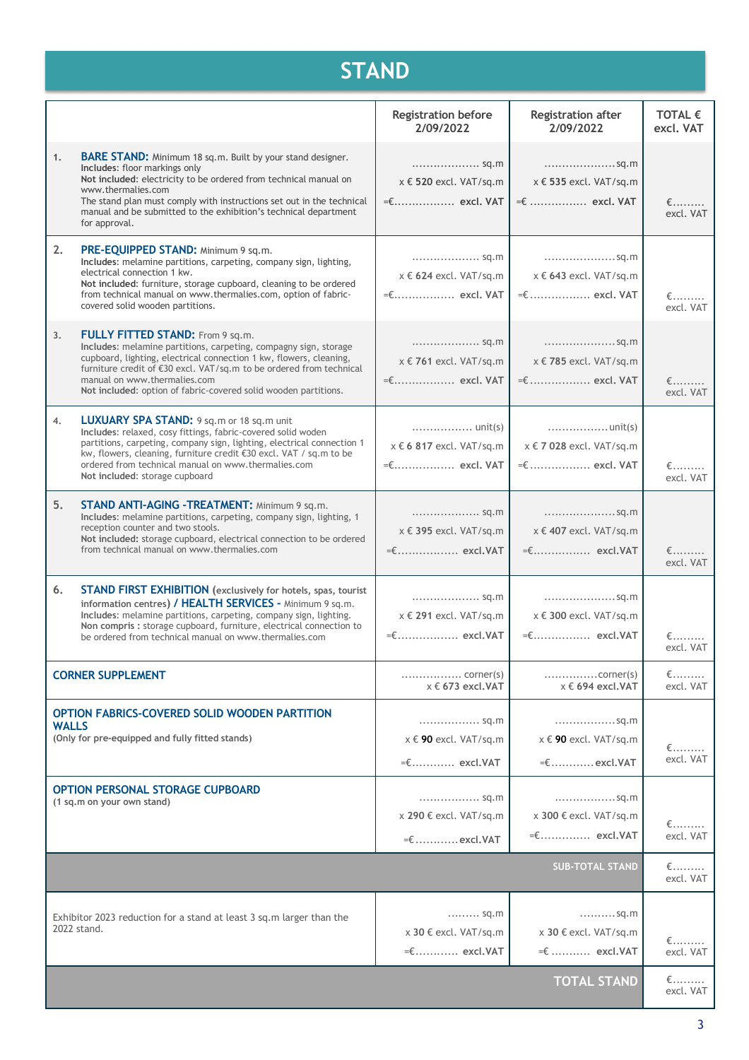# **STAND**

|              |                                                                                                                                                                                                                                                                                                                                                             | <b>Registration before</b><br>2/09/2022                                                  | <b>Registration after</b><br>2/09/2022                                                           | TOTAL $\epsilon$<br>excl. VAT                |
|--------------|-------------------------------------------------------------------------------------------------------------------------------------------------------------------------------------------------------------------------------------------------------------------------------------------------------------------------------------------------------------|------------------------------------------------------------------------------------------|--------------------------------------------------------------------------------------------------|----------------------------------------------|
| 1.           | <b>BARE STAND:</b> Minimum 18 sq.m. Built by your stand designer.<br>Includes: floor markings only<br>Not included: electricity to be ordered from technical manual on<br>www.thermalies.com<br>The stand plan must comply with instructions set out in the technical<br>manual and be submitted to the exhibition's technical department<br>for approval.  | sq.m<br>x € 520 excl. VAT/sq.m<br>$=\epsilon$ excl. VAT                                  | sq.m<br>x € 535 excl. VAT/sq.m<br>$=\epsilon$ excl. VAT                                          | $\epsilon$ ………<br>excl. VAT                  |
| 2.           | PRE-EQUIPPED STAND: Minimum 9 sq.m.<br>Includes: melamine partitions, carpeting, company sign, lighting,<br>electrical connection 1 kw.<br>Not included: furniture, storage cupboard, cleaning to be ordered<br>from technical manual on www.thermalies.com, option of fabric-<br>covered solid wooden partitions.                                          | sq.m<br>$x \in 624$ excl. VAT/sq.m<br>=€ excl. VAT                                       | sq.m<br>x € 643 excl. VAT/sq.m<br>=€  excl. VAT                                                  | $\epsilon$<br>excl. VAT                      |
| 3.           | <b>FULLY FITTED STAND:</b> From 9 sq.m.<br>Includes: melamine partitions, carpeting, compagny sign, storage<br>cupboard, lighting, electrical connection 1 kw, flowers, cleaning,<br>furniture credit of €30 excl. VAT/sq.m to be ordered from technical<br>manual on www.thermalies.com<br>Not included: option of fabric-covered solid wooden partitions. | sq.m<br>x € 761 excl. VAT/sq.m<br>=€ excl. VAT                                           | sq.m<br>x € 785 excl. VAT/sq.m<br>$=\epsilon$ excl. VAT                                          | $\epsilon$<br>excl. VAT                      |
| 4.           | LUXUARY SPA STAND: 9 sq.m or 18 sq.m unit<br>Includes: relaxed, cosy fittings, fabric-covered solid woden<br>partitions, carpeting, company sign, lighting, electrical connection 1<br>kw, flowers, cleaning, furniture credit €30 excl. VAT / sq.m to be<br>ordered from technical manual on www.thermalies.com<br>Not included: storage cupboard          | $\ldots \ldots \ldots \ldots \ldots$ unit(s)<br>x € 6 817 excl. VAT/sq.m<br>=€ excl. VAT | $\ldots \ldots \ldots \ldots \ldots \ldots$ unit(s)<br>x € 7 028 excl. VAT/sq.m<br>=€  excl. VAT | $\epsilon$ ………<br>excl. VAT                  |
| 5.           | <b>STAND ANTI-AGING -TREATMENT: Minimum 9 sq.m.</b><br>Includes: melamine partitions, carpeting, company sign, lighting, 1<br>reception counter and two stools.<br>Not included: storage cupboard, electrical connection to be ordered<br>from technical manual on www.thermalies.com                                                                       | sq.m<br>x € 395 excl. VAT/sq.m<br>=€ excl.VAT                                            | x € 407 excl. VAT/sq.m<br>=€ excl.VAT                                                            | $\epsilon$<br>excl. VAT                      |
| 6.           | <b>STAND FIRST EXHIBITION</b> (exclusively for hotels, spas, tourist<br>information centres) / HEALTH SERVICES - Minimum 9 sq.m.<br>Includes: melamine partitions, carpeting, company sign, lighting.<br>Non compris : storage cupboard, furniture, electrical connection to<br>be ordered from technical manual on www.thermalies.com                      | sq.m<br>x € 291 excl. VAT/sq.m                                                           | sq.m<br>x € 300 excl. VAT/sq.m<br>=€ excl.VAT                                                    | $\epsilon$<br>excl. VAT                      |
|              | <b>CORNER SUPPLEMENT</b>                                                                                                                                                                                                                                                                                                                                    | $x \in 673$ excl. VAT                                                                    | $\ldots \ldots \ldots \ldots \ldots$ corner(s)<br>$x \in 694$ excl. VAT                          | $\epsilon$<br>excl. VAT                      |
| <b>WALLS</b> | OPTION FABRICS-COVERED SOLID WOODEN PARTITION<br>(Only for pre-equipped and fully fitted stands)                                                                                                                                                                                                                                                            | sq.m<br>$x \in 90$ excl. VAT/sq.m<br>$=\epsilon$ excl.VAT                                | sq.m<br>x € 90 excl. VAT/sq.m<br>$=\epsilon$ excl.VAT                                            | $\epsilon$ ………<br>excl. VAT                  |
|              | <b>OPTION PERSONAL STORAGE CUPBOARD</b><br>(1 sq.m on your own stand)                                                                                                                                                                                                                                                                                       | sq.m<br>x 290 € excl. VAT/sq.m<br>$=\epsilon$ excl.VAT                                   | sq.m<br>x 300 € excl. VAT/sq.m<br>$=\epsilon$ excl.VAT                                           | $\epsilon$ ………<br>excl. VAT                  |
|              |                                                                                                                                                                                                                                                                                                                                                             |                                                                                          | <b>SUB-TOTAL STAND</b>                                                                           | $\epsilon_{\cdots\cdots\cdots}$<br>excl. VAT |
|              | Exhibitor 2023 reduction for a stand at least 3 sq.m larger than the<br>2022 stand.                                                                                                                                                                                                                                                                         | sq.m<br>x 30 € excl. VAT/sq.m<br>$=\epsilon$ excl.VAT                                    | sq.m<br>x 30 € excl. VAT/sq.m<br>=€  excl.VAT                                                    | $\epsilon_{\cdots\cdots\cdots}$<br>excl. VAT |
|              |                                                                                                                                                                                                                                                                                                                                                             |                                                                                          | <b>TOTAL STAND</b>                                                                               | €………<br>excl. VAT                            |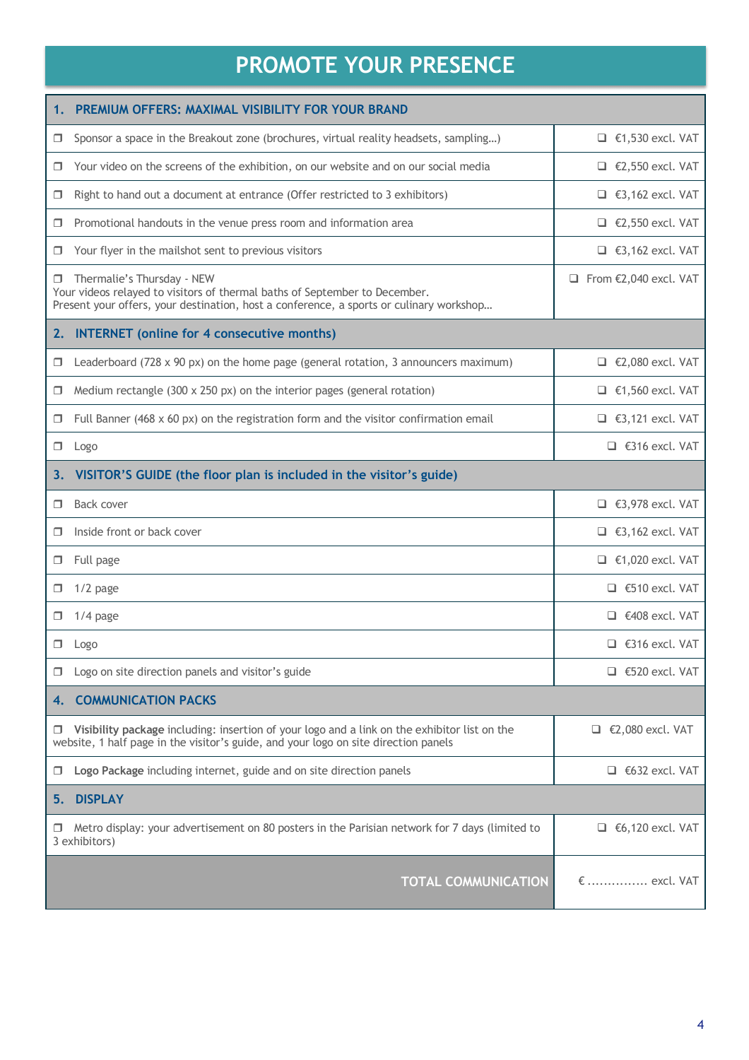# **PROMOTE YOUR PRESENCE**

| 1.     | PREMIUM OFFERS: MAXIMAL VISIBILITY FOR YOUR BRAND                                                                                                                                                   |                                        |
|--------|-----------------------------------------------------------------------------------------------------------------------------------------------------------------------------------------------------|----------------------------------------|
| 0      | Sponsor a space in the Breakout zone (brochures, virtual reality headsets, sampling)                                                                                                                | $\Box$ €1,530 excl. VAT                |
| 0      | Your video on the screens of the exhibition, on our website and on our social media                                                                                                                 | $\Box$ €2,550 excl. VAT                |
| □      | Right to hand out a document at entrance (Offer restricted to 3 exhibitors)                                                                                                                         | $\Box$ €3,162 excl. VAT                |
|        | Promotional handouts in the venue press room and information area                                                                                                                                   | $\Box$ €2,550 excl. VAT                |
| □      | Your flyer in the mailshot sent to previous visitors                                                                                                                                                | $\Box$ €3,162 excl. VAT                |
| □      | Thermalie's Thursday - NEW<br>Your videos relayed to visitors of thermal baths of September to December.<br>Present your offers, your destination, host a conference, a sports or culinary workshop | $\Box$ From $\epsilon$ 2,040 excl. VAT |
| 2.     | <b>INTERNET</b> (online for 4 consecutive months)                                                                                                                                                   |                                        |
| □      | Leaderboard (728 x 90 px) on the home page (general rotation, 3 announcers maximum)                                                                                                                 | $\Box$ €2,080 excl. VAT                |
| □      | Medium rectangle (300 x 250 px) on the interior pages (general rotation)                                                                                                                            | $\Box$ €1,560 excl. VAT                |
|        | Full Banner (468 $\times$ 60 px) on the registration form and the visitor confirmation email                                                                                                        | $\Box$ €3,121 excl. VAT                |
| σ.     | Logo                                                                                                                                                                                                | $\Box$ €316 excl. VAT                  |
|        | 3. VISITOR'S GUIDE (the floor plan is included in the visitor's guide)                                                                                                                              |                                        |
| π.     | Back cover                                                                                                                                                                                          | $\Box$ €3,978 excl. VAT                |
| □      | Inside front or back cover                                                                                                                                                                          | $\Box$ €3,162 excl. VAT                |
| □      | Full page                                                                                                                                                                                           | $\Box$ €1,020 excl. VAT                |
| □      | $1/2$ page                                                                                                                                                                                          | $\Box$ €510 excl. VAT                  |
| □      | $1/4$ page                                                                                                                                                                                          | $\Box$ €408 excl. VAT                  |
| □      | Logo                                                                                                                                                                                                | $\Box$ €316 excl. VAT                  |
| □      | Logo on site direction panels and visitor's guide                                                                                                                                                   | $\Box$ €520 excl. VAT                  |
| 4.     | <b>COMMUNICATION PACKS</b>                                                                                                                                                                          |                                        |
| $\Box$ | Visibility package including: insertion of your logo and a link on the exhibitor list on the<br>website, 1 half page in the visitor's guide, and your logo on site direction panels                 | $\Box$ €2,080 excl. VAT                |
| □      | Logo Package including internet, guide and on site direction panels                                                                                                                                 | $\Box$ €632 excl. VAT                  |
| 5.     | <b>DISPLAY</b>                                                                                                                                                                                      |                                        |
|        | Metro display: your advertisement on 80 posters in the Parisian network for 7 days (limited to<br>3 exhibitors)                                                                                     | $\Box$ €6,120 excl. VAT                |
|        | <b>TOTAL COMMUNICATION</b>                                                                                                                                                                          | €  excl. VAT                           |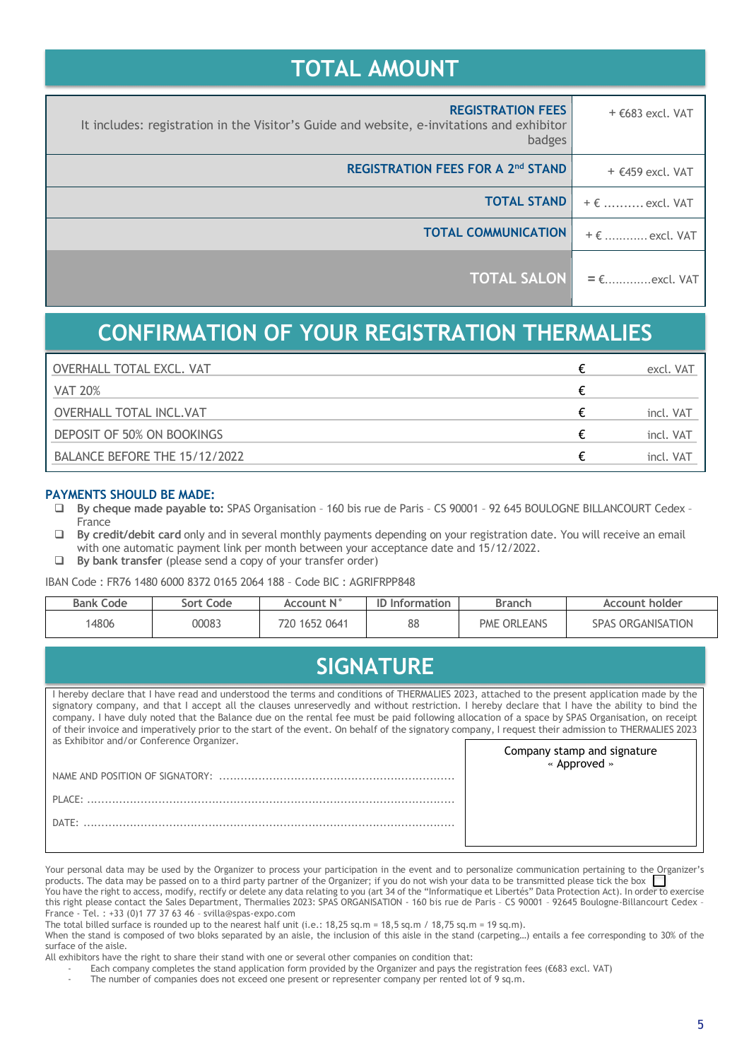## **TOTAL AMOUNT**

| $+$ €683 excl. VAT     | <b>REGISTRATION FEES</b><br>It includes: registration in the Visitor's Guide and website, e-invitations and exhibitor<br>badges |
|------------------------|---------------------------------------------------------------------------------------------------------------------------------|
| $+$ $E459$ excl. VAT   | <b>REGISTRATION FEES FOR A 2nd STAND</b>                                                                                        |
| $+ \epsilon$ excl. VAT | <b>TOTAL STAND</b>                                                                                                              |
| $+ \epsilon$ excl. VAT | <b>TOTAL COMMUNICATION</b>                                                                                                      |
| $= \epsilon$ excl. VAT | <b>TOTAL SALON</b>                                                                                                              |

## **CONFIRMATION OF YOUR REGISTRATION THERMALIES**

| <b>OVERHALL TOTAL EXCL. VAT</b> | excl. VAT |
|---------------------------------|-----------|
| <b>VAT 20%</b>                  |           |
| <b>OVERHALL TOTAL INCL.VAT</b>  | incl. VAT |
| DEPOSIT OF 50% ON BOOKINGS      | incl. VAT |
| BALANCE BEFORE THE 15/12/2022   | incl. VAT |

## **PAYMENTS SHOULD BE MADE:**

- q **By cheque made payable to:** SPAS Organisation 160 bis rue de Paris CS 90001 92 645 BOULOGNE BILLANCOURT Cedex France
- □ **By credit/debit card** only and in several monthly payments depending on your registration date. You will receive an email with one automatic payment link per month between your acceptance date and 15/12/2022.
- q **By bank transfer** (please send a copy of your transfer order)

IBAN Code : FR76 1480 6000 8372 0165 2064 188 – Code BIC : AGRIFRPP848

| <b>Bank Code</b> | Sort Code | Account N°    | <b>Information</b> | Branch             | <b>Account holder</b>    |
|------------------|-----------|---------------|--------------------|--------------------|--------------------------|
| 4806             | 00083     | 720 1652 0641 | 88                 | <b>PME ORLEANS</b> | <b>SPAS ORGANISATION</b> |

## **SIGNATURE**

I hereby declare that I have read and understood the terms and conditions of THERMALIES 2023, attached to the present application made by the signatory company, and that I accept all the clauses unreservedly and without restriction. I hereby declare that I have the ability to bind the company. I have duly noted that the Balance due on the rental fee must be paid following allocation of a space by SPAS Organisation, on receipt of their invoice and imperatively prior to the start of the event. On behalf of the signatory company, I request their admission to THERMALIES 2023 as Exhibitor and/or Conference Organizer. Company stamp and signature

| .<br>« Approved » |
|-------------------|
|                   |
|                   |
|                   |
|                   |

Your personal data may be used by the Organizer to process your participation in the event and to personalize communication pertaining to the Organizer's products. The data may be passed on to a third party partner of the Organizer; if you do not wish your data to be transmitted please tick the box You have the right to access, modify, rectify or delete any data relating to you (art 34 of the "Informatique et Libertés" Data Protection Act). In order to exercise this right please contact the Sales Department, Thermalies 2023: SPAS ORGANISATION - 160 bis rue de Paris - CS 90001 - 92645 Boulogne-Billancourt Cedex -

France - Tel. : +33 (0)1 77 37 63 46 – svilla@spas-expo.com

The total billed surface is rounded up to the nearest half unit (i.e.:  $18,25$  sq.m =  $18,5$  sq.m /  $18,75$  sq.m =  $19$  sq.m). When the stand is composed of two bloks separated by an aisle, the inclusion of this aisle in the stand (carpeting...) entails a fee corresponding to 30% of the surface of the aisle.

- All exhibitors have the right to share their stand with one or several other companies on condition that:
	- Each company completes the stand application form provided by the Organizer and pays the registration fees (€683 excl. VAT)

The number of companies does not exceed one present or representer company per rented lot of 9 sq.m.